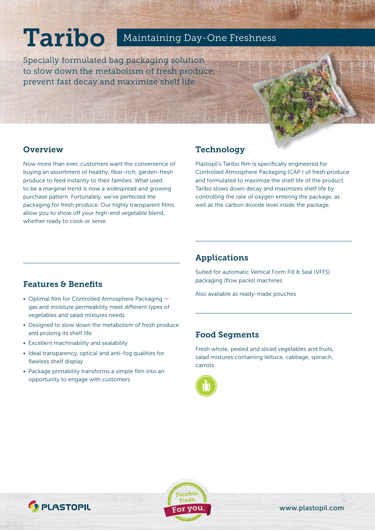# **Taribo** Maintaining Day-One Freshness

Specially formulated bag packaging solution to slow down the metabolism of fresh produce, prevent fast decay and maximize shelf life

## **Overview**

Now more than ever, customers want the convenience of buying an assortment of healthy, fiber-rich, garden-fresh produce to feed instantly to their families. What used to be a marginal trend is now a widespread and growing purchase pattern. Fortunately, we've perfected the packaging for fresh produce. Our highly transparent films allow you to show off your high-end vegetable blend, whether ready to cook or serve.

## Technology

Plastopil's Taribo film is specifically engineered for Controlled Atmosphere Packaging (CAP ) of fresh produce and formulated to maximize the shelf life of the product. Taribo slows down decay and maximizes shelf life by controlling the rate of oxygen entering the package, as well as the carbon dioxide level inside the package.

# Features & Benefits

- Optimal film for Controlled Atmosphere Packaging gas and moisture permeability meet different types of vegetables and salad mixtures needs
- Designed to slow down the metabolism of fresh produce and prolong its shelf life
- Excellent machinability and sealability
- Ideal transparency, optical and anti-fog qualities for flawless shelf display
- Package printability transforms a simple film into an opportunity to engage with customers

## Applications

Suited for automatic Vertical Form Fill & Seal (VFFS) packaging (flow packs) machines

Also available as ready-made pouches

## Food Segments

Fresh whole, peeled and sliced vegetables and fruits, salad mixtures containing lettuce, cabbage, spinach, carrots